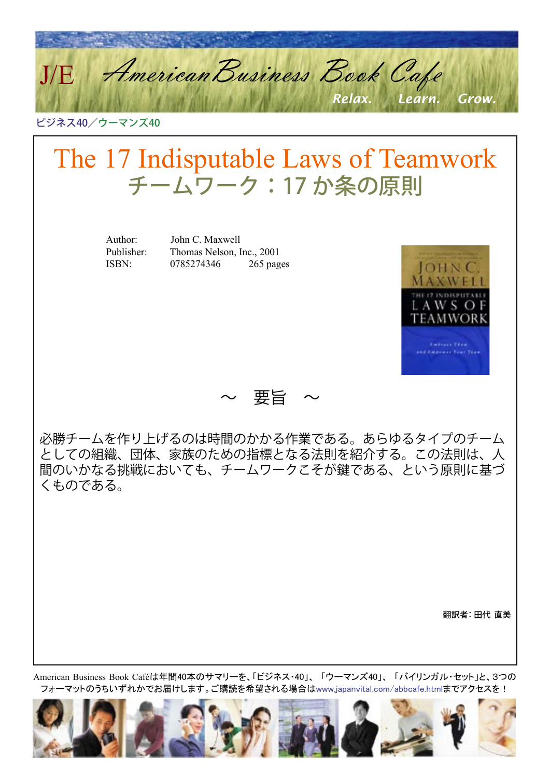American Business Book Cafe *Relax. Learn. Grow.* J/E

ビジネス40/ウーマンズ40

# The 17 Indisputable Laws of Teamwork チームワーク:17 か条の原則

Author: John C. Maxwell

 Publisher: Thomas Nelson, Inc., 2001 ISBN: 0785274346 265 pages



~ 要旨 ~

必勝チームを作り上げるのは時間のかかる作業である。あらゆるタイプのチーム としての組織、団体、家族のための指標となる法則を紹介する。この法則は、人 間のいかなる挑戦においても、チームワークこそが鍵である、という原則に基づ くものである。

翻訳者: 田代 直美

American Business Book Caféは年間40本のサマリーを、「ビジネス・40」、 「ウーマンズ40」、 「バイリンガル・セット」と、3つの フォーマットのうちいずれかでお届けします。ご購読を希望される場合[はwww.japanvital.com/abbcafe.htmlま](http://www.japanvital.com/abbcafe.html)でアクセスを!

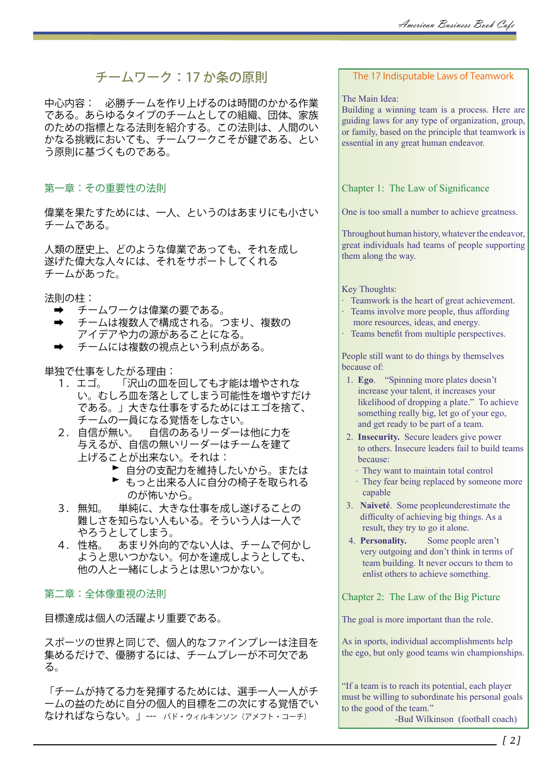# チームワーク:17 か条の原則

中心内容: 必勝チームを作り上げるのは時間のかかる作業 である。あらゆるタイプのチームとしての組織、団体、家族 のための指標となる法則を紹介する。この法則は、人間のい かなる挑戦においても、チームワークこそが鍵である、とい う原則に基づくものである。

第一章:その重要性の法則

偉業を果たすためには、一人、というのはあまりにも小さい チームである。

人類の歴史上、どのような偉業であっても、それを成し 遂げた偉大な人々には、それをサポートしてくれる チームがあった。

法則の柱:

- ➡ チームワークは偉業の要である。
- ➡ チームは複数人で構成される。つまり、複数の アイデアや力の源があることになる。
- ➡ チームには複数の視点という利点がある。

ー独で仕事をしたがる理由:<br>- 1. エゴ。 「沢山の皿を

- 「沢山の皿を回しても才能は増やされな い。むしろ皿を落としてしまう可能性を増やすだけ である。」大きな仕事をするためにはエゴを捨て、 チームの一員になる覚悟をしなさい。
- 2. 自信が無い。 自信のあるリーダーは他に力を 与えるが、自信の無いリーダーはチームを建て 上げることが出来ない。それは:
	- ▶ 自分の支配力を維持したいから。または
	- ▶ もっと出来る人に自分の椅子を取られる のが怖いから。
- 3. 無知。 単純に、大きな仕事を成し遂げることの 難しさを知らない人もいる。そういう人は一人で やろうとしてしまう。
- 4. 性格。 あまり外向的でない人は、チームで何かし ようと思いつかない。何かを達成しようとしても、 他の人と一緒にしようとは思いつかない。

## 第二章:全体像重視の法則

目標達成は個人の活躍より重要である。

スポーツの世界と同じで、個人的なファインプレーは注目を 集めるだけで、優勝するには、チームプレーが不可欠であ る。

「チームが持てる力を発揮するためには、選手一人一人がチ ームの益のために自分の個人的目標を二の次にする覚悟でい なければならない。」--- バド・ウィルキンソン(アメフト・コーチ)

## The 17 Indisputable Laws of Teamwork

#### The Main Idea:

Building a winning team is a process. Here are guiding laws for any type of organization, group, or family, based on the principle that teamwork is essential in any great human endeavor.

Chapter 1: The Law of Significance

One is too small a number to achieve greatness.

Throughout human history, whatever the endeavor, great individuals had teams of people supporting them along the way.

#### Key Thoughts:

- · Teamwork is the heart of great achievement.
- · Teams involve more people, thus affording more resources, ideas, and energy.
- · Teams benefit from multiple perspectives.

People still want to do things by themselves because of:

- 1. **Ego**. "Spinning more plates doesn't increase your talent, it increases your likelihood of dropping a plate." To achieve something really big, let go of your ego, and get ready to be part of a team.
- 2. **Insecurity.** Secure leaders give power to others. Insecure leaders fail to build teams because:
	- · They want to maintain total control
	- · They fear being replaced by someone more capable
- 3. **Naiveté**. Some peopleunderestimate the difficulty of achieving big things. As a result, they try to go it alone.
- 4. **Personality.** Some people aren't very outgoing and don't think in terms of team building. It never occurs to them to enlist others to achieve something.

Chapter 2: The Law of the Big Picture

The goal is more important than the role.

As in sports, individual accomplishments help the ego, but only good teams win championships.

"If a team is to reach its potential, each player must be willing to subordinate his personal goals to the good of the team."

-Bud Wilkinson (football coach)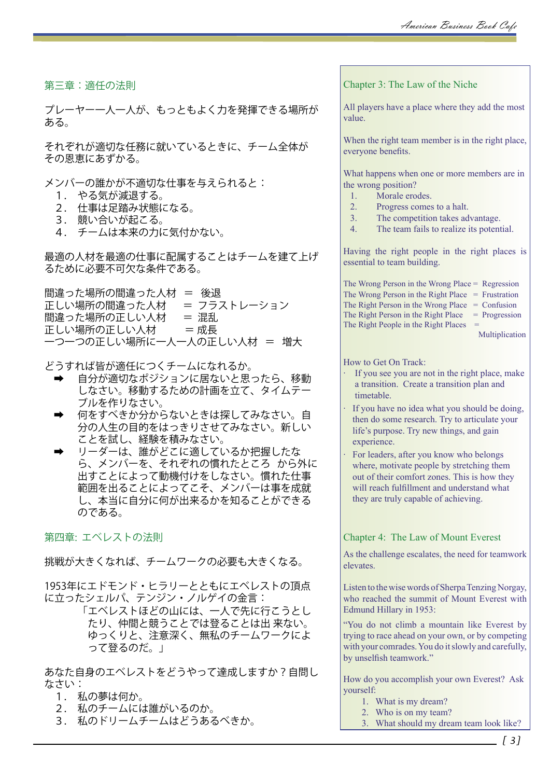第三章:適任の法則

プレーヤー一人一人が、もっともよく力を発揮できる場所が ある。

それぞれが適切な任務に就いているときに、チーム全体が その恩恵にあずかる。

メンバーの誰かが不適切な仕事を与えられると:

- 1. やる気が減退する。
- 2. 仕事は足踏み状態になる。
- 3. 競い合いが起こる。
- 4. チームは本来の力に気付かない。

最適の人材を最適の仕事に配属することはチームを建て上げ るために必要不可欠な条件である。

## 間違った場所の間違った人材 = 後退<br>正しい場所の間違った人材 = フラストレーション 正しい場所の間違った人材 間違った場所の正しい人材 = 混乱 正しい場所の正しい人材 = 成長 一つ一つの正しい場所に一人一人の正しい人材 = 増大

どうすれば皆が適任につくチームになれるか。

- 自分が適切なポジションに居ないと思ったら、移動 しなさい。移動するための計画を立て、タイムテー ブルを作りなさい。
- ➡ 何をすべきか分からないときは探してみなさい。自 分の人生の目的をはっきりさせてみなさい。新しい ことを試し、経験を積みなさい。
- ➡ リーダーは、誰がどこに適しているか把握したな ら、メンバーを、それぞれの慣れたところ から外に 出すことによって動機付けをしなさい。慣れた仕事 範囲を出ることによってこそ、メンバーは事を成就 し、本当に自分に何が出来るかを知ることができる のである。

第四章: エベレストの法則

挑戦が大きくなれば、チームワークの必要も大きくなる。

1953年にエドモンド・ヒラリーとともにエベレストの頂点 に立ったシェルパ、テンジン・ノルゲイの金言:

> 「エベレストほどの山には、一人で先に行こうとし たり、仲間と競うことでは登ることは出 来ない。 ゆっくりと、注意深く、無私のチームワークによ って登るのだ。」

あなた自身のエベレストをどうやって達成しますか?自問し なさい:

- 1. 私の夢は何か。
- 2. 私のチームには誰がいるのか。
- 3. 私のドリームチームはどうあるべきか。

Chapter 3: The Law of the Niche

All players have a place where they add the most value.

When the right team member is in the right place, everyone benefits.

What happens when one or more members are in the wrong position?

- 1. Morale erodes.<br>2. Progress comes
- Progress comes to a halt.
- 3. The competition takes advantage.
- 4. The team fails to realize its potential.

Having the right people in the right places is essential to team building.

The Wrong Person in the Wrong Place = Regression The Wrong Person in the Right Place  $=$  Frustration The Right Person in the Wrong Place  $=$  Confusion The Right Person in the Right Place  $=$  Progression The Right People in the Right Places  $=$ 

Multiplication

How to Get On Track:

- If you see you are not in the right place, make a transition. Create a transition plan and timetable.
- If you have no idea what you should be doing, then do some research. Try to articulate your life's purpose. Try new things, and gain experience.
- For leaders, after you know who belongs where, motivate people by stretching them out of their comfort zones. This is how they will reach fulfillment and understand what they are truly capable of achieving.

Chapter 4: The Law of Mount Everest

As the challenge escalates, the need for teamwork elevates.

Listen to the wise words of Sherpa Tenzing Norgay, who reached the summit of Mount Everest with Edmund Hillary in 1953:

"You do not climb a mountain like Everest by trying to race ahead on your own, or by competing with your comrades. You do it slowly and carefully, by unselfish teamwork."

How do you accomplish your own Everest? Ask yourself:

- 1. What is my dream?
- 2. Who is on my team?
- 3. What should my dream team look like?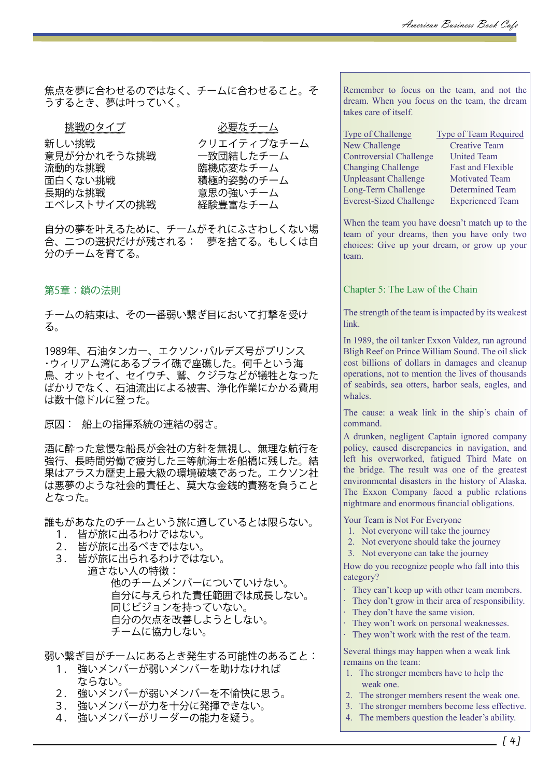焦点を夢に合わせるのではなく、チームに合わせること。そ うするとき、夢は叶っていく。

挑戦のタイプ 必要なチーム

新しい挑戦 フリエイティブなチーム<br>意見が分かれそうな挑戦 一致団結したチーム 意見が分かれそうな挑戦 流動的な挑戦 臨機応変なチーム<br>面白くない挑戦 積極的姿勢のチー. 長期的な挑戦 まちゃん 意思の強いチーム エベレストサイズの挑戦 経験豊富なチーム

積極的姿勢のチーム

自分の夢を叶えるために、チームがそれにふさわしくない場 合、二つの選択だけが残される: 夢を捨てる。もしくは自 分のチームを育てる。

第5章:鎖の法則

チームの結束は、その一番弱い繋ぎ目において打撃を受け る。

1989年、石油タンカー、エクソン・バルデズ号がプリンス ・ウィリアム湾にあるブライ礁で座礁した。何千という海 鳥、オットセイ、セイウチ、鷲、クジラなどが犠牲となった ばかりでなく、石油流出による被害、浄化作業にかかる費用 は数十億ドルに登った。

原因: 船上の指揮系統の連結の弱さ。

酒に酔った怠慢な船長が会社の方針を無視し、無理な航行を 強行、長時間労働で疲労した三等航海士を船橋に残した。結 果はアラスカ歴史上最大級の環境破壊であった。エクソン社 は悪夢のような社会的責任と、莫大な金銭的責務を負うこと となった。

誰もがあなたのチームという旅に適しているとは限らない。

- 1. 皆が旅に出るわけではない。
- 2. 皆が旅に出るべきではない。
- 3. 皆が旅に出られるわけではない。 適さない人の特徴: 他のチームメンバーについていけない。 自分に与えられた責任範囲では成長しない。

 同じビジョンを持っていない。 自分の欠点を改善しようとしない。 チームに協力しない。

弱い繋ぎ目がチームにあるとき発生する可能性のあること:

- 1. 強いメンバーが弱いメンバーを助けなければ ならない。
- 2. 強いメンバーが弱いメンバーを不愉快に思う。
- 3. 強いメンバーが力を十分に発揮できない。
- 4. 強いメンバーがリーダーの能力を疑う。

Remember to focus on the team, and not the dream. When you focus on the team, the dream takes care of itself.

| <b>Type of Challenge</b>       | <b>Type of Team Required</b> |
|--------------------------------|------------------------------|
| <b>New Challenge</b>           | <b>Creative Team</b>         |
| <b>Controversial Challenge</b> | <b>United Team</b>           |
| <b>Changing Challenge</b>      | <b>Fast and Flexible</b>     |
| <b>Unpleasant Challenge</b>    | <b>Motivated Team</b>        |
| Long-Term Challenge            | <b>Determined Team</b>       |
| <b>Everest-Sized Challenge</b> | <b>Experienced Team</b>      |

When the team you have doesn't match up to the team of your dreams, then you have only two choices: Give up your dream, or grow up your team.

Chapter 5: The Law of the Chain

The strength of the team is impacted by its weakest link.

In 1989, the oil tanker Exxon Valdez, ran aground Bligh Reef on Prince William Sound. The oil slick cost billions of dollars in damages and cleanup operations, not to mention the lives of thousands of seabirds, sea otters, harbor seals, eagles, and whales.

The cause: a weak link in the ship's chain of command.

A drunken, negligent Captain ignored company policy, caused discrepancies in navigation, and left his overworked, fatigued Third Mate on the bridge. The result was one of the greatest environmental disasters in the history of Alaska. The Exxon Company faced a public relations nightmare and enormous financial obligations.

Your Team is Not For Everyone

- 1. Not everyone will take the journey
- 2. Not everyone should take the journey
- 3. Not everyone can take the journey

How do you recognize people who fall into this category?

- · They can't keep up with other team members.
- · They don't grow in their area of responsibility.
- · They don't have the same vision.
- · They won't work on personal weaknesses.
- · They won't work with the rest of the team.

Several things may happen when a weak link remains on the team:

- 1. The stronger members have to help the weak one.
- 2. The stronger members resent the weak one.
- 3. The stronger members become less effective.
- 4. The members question the leader's ability.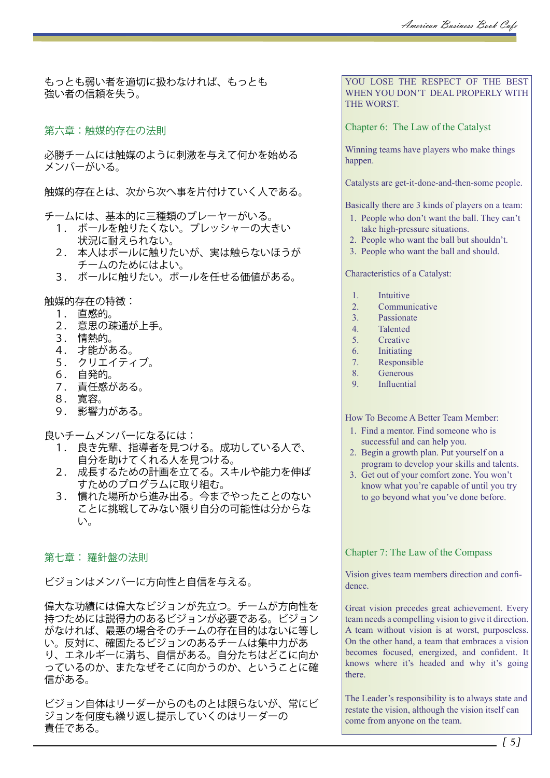もっとも弱い者を適切に扱わなければ、もっとも 強い者の信頼を失う。

第六章:触媒的存在の法則

必勝チームには触媒のように刺激を与えて何かを始める メンバーがいる。

触媒的存在とは、次から次へ事を片付けていく人である。

チームには、基本的に三種類のプレーヤーがいる。

- 1. ボールを触りたくない。プレッシャーの大きい 状況に耐えられない。
- 2. 本人はボールに触りたいが、実は触らないほうが チームのためにはよい。
- 3. ボールに触りたい。ボールを任せる価値がある。

触媒的存在の特徴:

- 1. 直感的。
- 2. 意思の疎通が上手。
- 3. 情熱的。
- 4. 才能がある。
- 5. クリエイティブ。
- 6. 自発的。
- 7. 責任感がある。
- 8. 寛容。
- 9. 影響力がある。
- 良いチームメンバーになるには:
	- 1. 良き先輩、指導者を見つける。成功している人で、 自分を助けてくれる人を見つける。
	- 2. 成長するための計画を立てる。スキルや能力を伸ば すためのプログラムに取り組む。
	- 3. 慣れた場所から進み出る。今までやったことのない ことに挑戦してみない限り自分の可能性は分からな い。

## 第七章: 羅針盤の法則

ビジョンはメンバーに方向性と自信を与える。

偉大な功績には偉大なビジョンが先立つ。チームが方向性を 持つためには説得力のあるビジョンが必要である。ビジョン がなければ、最悪の場合そのチームの存在目的はないに等し い。反対に、確固たるビジョンのあるチームは集中力があ り、エネルギーに満ち、自信がある。自分たちはどこに向か っているのか、またなぜそこに向かうのか、ということに確 信がある。

ビジョン自体はリーダーからのものとは限らないが、常にビ ジョンを何度も繰り返し提示していくのはリーダーの 責任である。

YOU LOSE THE RESPECT OF THE BEST WHEN YOU DON'T DEAL PROPERLY WITH THE WORST.

Chapter 6: The Law of the Catalyst

Winning teams have players who make things happen.

Catalysts are get-it-done-and-then-some people.

Basically there are 3 kinds of players on a team:

- 1. People who don't want the ball. They can't take high-pressure situations.
- 2. People who want the ball but shouldn't.
- 3. People who want the ball and should.

Characteristics of a Catalyst:

- 1. Intuitive
- 2. Communicative
- 3. Passionate
- 4. Talented
- 5. Creative
- 6. Initiating
- 7. Responsible 8. Generous
- 
- 9. Influential

How To Become A Better Team Member:

- 1. Find a mentor. Find someone who is successful and can help you.
- 2. Begin a growth plan. Put yourself on a program to develop your skills and talents.
- 3. Get out of your comfort zone. You won't know what you're capable of until you try to go beyond what you've done before.

Chapter 7: The Law of the Compass

Vision gives team members direction and confidence.

Great vision precedes great achievement. Every team needs a compelling vision to give it direction. A team without vision is at worst, purposeless. On the other hand, a team that embraces a vision becomes focused, energized, and confident. It knows where it's headed and why it's going there.

The Leader's responsibility is to always state and restate the vision, although the vision itself can come from anyone on the team.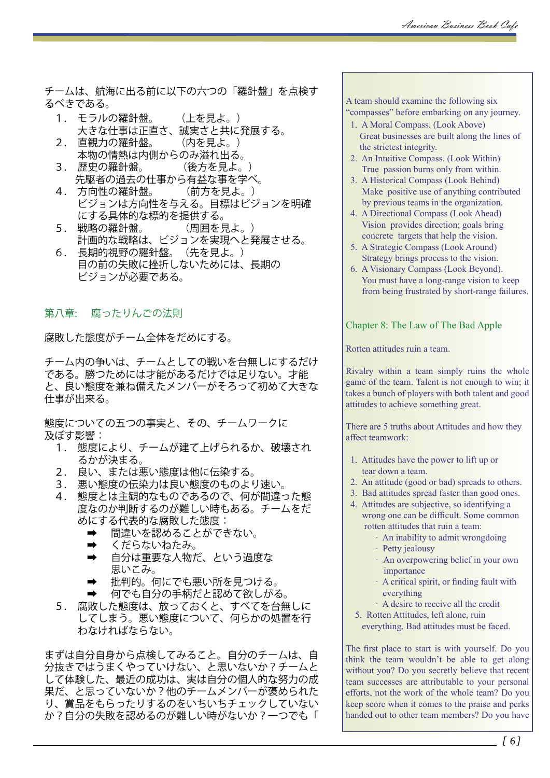チームは、航海に出る前に以下の六つの「羅針盤」を点検す るべきである。

- 1. モラルの羅針盤。 (上を見よ。) 大きな仕事は正直さ、誠実さと共に発展する。
- 2. 直観力の羅針盤。 (内を見よ。) 本物の情熱は内側からのみ溢れ出る。
- 3. 歴史の羅針盤。 (後方を見よ。) 先駆者の過去の仕事から有益な事を学べ。<br>方向性の羅針盤。 (前方を見よ。)
- 4. 方向性の羅針盤。 ビジョンは方向性を与える。目標はビジョンを明確 にする具体的な標的を提供する。<br>5. 戦略の羅針盤。 (周囲を見
- (周囲を見よ。) 計画的な戦略は、ビジョンを実現へと発展させる。
- 6. 長期的視野の羅針盤。(先を見よ。) 目の前の失敗に挫折しないためには、長期の ビジョンが必要である。

## 第八章: 腐ったりんごの法則

腐敗した態度がチーム全体をだめにする。

チーム内の争いは、チームとしての戦いを台無しにするだけ である。勝つためには才能があるだけでは足りない。才能 と、良い態度を兼ね備えたメンバーがそろって初めて大きな 仕事が出来る。

態度についての五つの事実と、その、チームワークに 及ぼす影響:

- 1. 態度により、チームが建て上げられるか、破壊され るかが決まる。
- 2. 良い、または悪い態度は他に伝染する。
- 3. 悪い態度の伝染力は良い態度のものより速い。
- 4. 態度とは主観的なものであるので、何が間違った態 度なのか判断するのが難しい時もある。チームをだ めにする代表的な腐敗した態度:
	- ➡ 間違いを認めることができない。
	- ➡ くだらないねたみ。
	- 自分は重要な人物だ、という過度な 思いこみ。
	- ➡ 批判的。何にでも悪い所を見つける。
	- ➡ 何でも自分の手柄だと認めて欲しがる。
- 5. 腐敗した態度は、放っておくと、すべてを台無しに してしまう。悪い態度について、何らかの処置を行 わなければならない。

まずは自分自身から点検してみること。自分のチームは、自 分抜きではうまくやっていけない、と思いないか?チームと して体験した、最近の成功は、実は自分の個人的な努力の成 果だ、と思っていないか?他のチームメンバーが褒められた り、賞品をもらったりするのをいちいちチェックしていない か?自分の失敗を認めるのが難しい時がないか?一つでも「

A team should examine the following six "compasses" before embarking on any journey.

- 1. A Moral Compass. (Look Above) Great businesses are built along the lines of the strictest integrity.
- 2. An Intuitive Compass. (Look Within) True passion burns only from within.
- 3. A Historical Compass (Look Behind) Make positive use of anything contributed by previous teams in the organization.
- 4. A Directional Compass (Look Ahead) Vision provides direction; goals bring concrete targets that help the vision.
- 5. A Strategic Compass (Look Around) Strategy brings process to the vision.
- 6. A Visionary Compass (Look Beyond). You must have a long-range vision to keep from being frustrated by short-range failures.

#### Chapter 8: The Law of The Bad Apple

Rotten attitudes ruin a team.

Rivalry within a team simply ruins the whole game of the team. Talent is not enough to win; it takes a bunch of players with both talent and good attitudes to achieve something great.

There are 5 truths about Attitudes and how they affect teamwork:

- 1. Attitudes have the power to lift up or tear down a team.
- 2. An attitude (good or bad) spreads to others.
- 3. Bad attitudes spread faster than good ones.
- 4. Attitudes are subjective, so identifying a wrong one can be difficult. Some common rotten attitudes that ruin a team:
	- · An inability to admit wrongdoing
	- · Petty jealousy
	- · An overpowering belief in your own importance
	- · A critical spirit, or finding fault with everything
	- · A desire to receive all the credit
	- 5. Rotten Attitudes, left alone, ruin
	- everything. Bad attitudes must be faced.

The first place to start is with yourself. Do you think the team wouldn't be able to get along without you? Do you secretly believe that recent team successes are attributable to your personal efforts, not the work of the whole team? Do you keep score when it comes to the praise and perks handed out to other team members? Do you have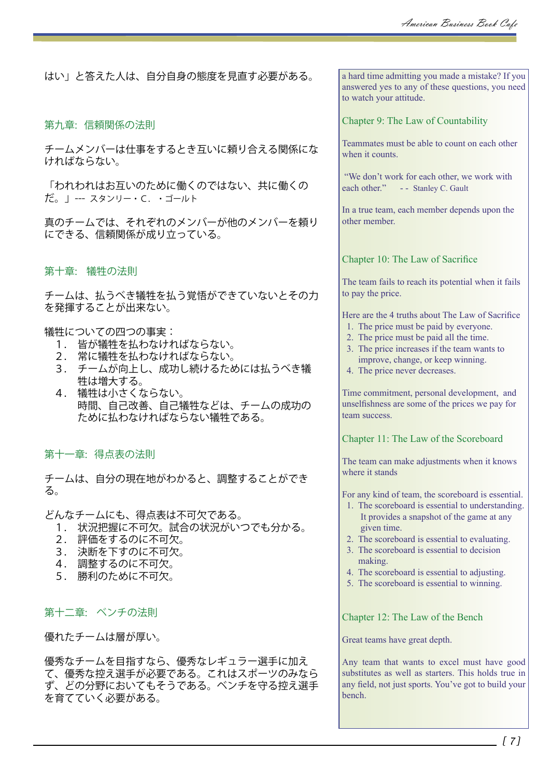はい」と答えた人は、自分自身の態度を見直す必要がある。

#### 第九章: 信頼関係の法則

チームメンバーは仕事をするとき互いに頼り合える関係にな ければならない。

「われわれはお互いのために働くのではない、共に働くの だ。」--- スタンリー・C.・ゴールト

真のチームでは、それぞれのメンバーが他のメンバーを頼り にできる、信頼関係が成り立っている。

#### 第十章: 犠牲の法則

チームは、払うべき犠牲を払う覚悟ができていないとその力 を発揮することが出来ない。

#### 犠牲についての四つの事実:

- 1. 皆が犠牲を払わなければならない。
- 2. 常に犠牲を払わなければならない。
- 3. チームが向上し、成功し続けるためには払うべき犠 牲は増大する。
- 4. 犠牲は小さくならない。 時間、自己改善、自己犠牲などは、チームの成功の ために払わなければならない犠牲である。

第十一章: 得点表の法則

チームは、自分の現在地がわかると、調整することができ る。

どんなチームにも、得点表は不可欠である。

- 1. 状況把握に不可欠。試合の状況がいつでも分かる。
- 2. 評価をするのに不可欠。
- 3. 決断を下すのに不可欠。
- 4. 調整するのに不可欠。
- 5. 勝利のために不可欠。

## 第十二章: ベンチの法則

優れたチームは層が厚い。

優秀なチームを目指すなら、優秀なレギュラー選手に加え て、優秀な控え選手が必要である。これはスポーツのみなら ず、どの分野においてもそうである。ベンチを守る控え選手 を育てていく必要がある。

a hard time admitting you made a mistake? If you answered yes to any of these questions, you need to watch your attitude.

#### Chapter 9: The Law of Countability

Teammates must be able to count on each other when it counts.

 "We don't work for each other, we work with each other." - - Stanley C. Gault

In a true team, each member depends upon the other member.

#### Chapter 10: The Law of Sacrifice

The team fails to reach its potential when it fails to pay the price.

Here are the 4 truths about The Law of Sacrifice

- 1. The price must be paid by everyone.
- 2. The price must be paid all the time.
- 3. The price increases if the team wants to improve, change, or keep winning.
- 4. The price never decreases.

Time commitment, personal development, and unselfishness are some of the prices we pay for team success.

Chapter 11: The Law of the Scoreboard

The team can make adjustments when it knows where it stands

For any kind of team, the scoreboard is essential.

- 1. The scoreboard is essential to understanding. It provides a snapshot of the game at any given time.
- 2. The scoreboard is essential to evaluating.
- 3. The scoreboard is essential to decision making.
- 4. The scoreboard is essential to adjusting.
- 5. The scoreboard is essential to winning.

Chapter 12: The Law of the Bench

Great teams have great depth.

Any team that wants to excel must have good substitutes as well as starters. This holds true in any field, not just sports. You've got to build your bench.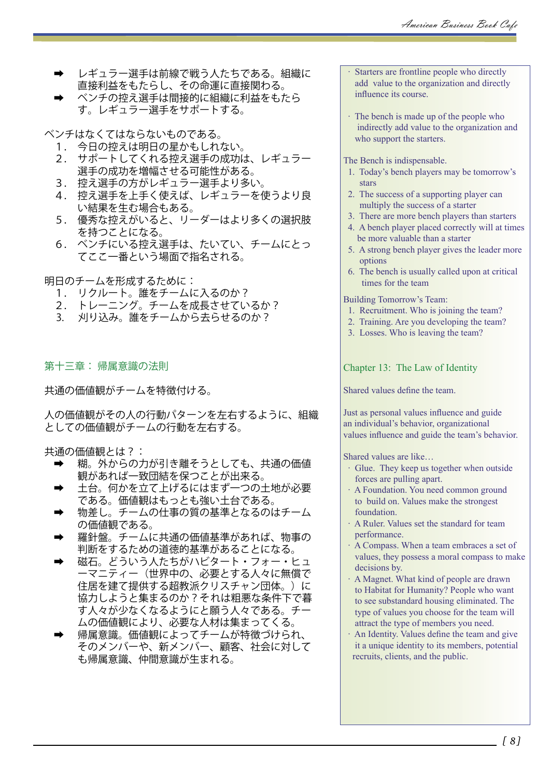- ➡ レギュラー選手は前線で戦う人たちである。組織に 直接利益をもたらし、その命運に直接関わる。
- ➡ ベンチの控え選手は間接的に組織に利益をもたら す。レギュラー選手をサポートする。

ベンチはなくてはならないものである。

- 1. 今日の控えは明日の星かもしれない。
- 2. サポートしてくれる控え選手の成功は、レギュラー 選手の成功を増幅させる可能性がある。
- 3. 控え選手の方がレギュラー選手より多い。
- 4. 控え選手を上手く使えば、レギュラーを使うより良 い結果を生む場合もある。
- 5. 優秀な控えがいると、リーダーはより多くの選択肢 を持つことになる。
- 6. ベンチにいる控え選手は、たいてい、チームにとっ てここ一番という場面で指名される。

明日のチームを形成するために:

- 1. リクルート。誰をチームに入るのか?
- ...<br>2. トレーニング。チームを成長させているか?
- 3. 刈り込み。誰をチームから去らせるのか?

第十三章: 帰属意識の法則

共通の価値観がチームを特徴付ける。

人の価値観がその人の行動パターンを左右するように、組織 としての価値観がチームの行動を左右する。

共通の価値観とは?:

- 糊。外からの力が引き離そうとしても、共通の価値 観があれば一致団結を保つことが出来る。
- ➡ 土台。何かを立て上げるにはまず一つの土地が必要 である。価値観はもっとも強い土台である。
- 物差し。チームの仕事の質の基準となるのはチーム の価値観である。
- 羅針盤。チームに共通の価値基準があれば、物事の 判断をするための道徳的基準があることになる。
- 磁石。どういう人たちがハビタート・フォー・ヒュ ーマニティー(世界中の、必要とする人々に無償で 住居を建て提供する超教派クリスチャン団体。)に 協力しようと集まるのか?それは粗悪な条件下で暮 す人々が少なくなるようにと願う人々である。チー ムの価値観により、必要な人材は集まってくる。
- 帰属意識。価値観によってチームが特徴づけられ、 そのメンバーや、新メンバー、顧客、社会に対して も帰属意識、仲間意識が生まれる。
- Starters are frontline people who directly add value to the organization and directly influence its course.
- · The bench is made up of the people who indirectly add value to the organization and who support the starters.

The Bench is indispensable.

- 1. Today's bench players may be tomorrow's stars
- 2. The success of a supporting player can multiply the success of a starter
- 3. There are more bench players than starters
- 4. A bench player placed correctly will at times be more valuable than a starter
- 5. A strong bench player gives the leader more options
- 6. The bench is usually called upon at critical times for the team

Building Tomorrow's Team:

- 1. Recruitment. Who is joining the team?
- 2. Training. Are you developing the team?
- 3. Losses. Who is leaving the team?

Chapter 13: The Law of Identity

Shared values define the team.

Just as personal values influence and guide an individual's behavior, organizational values influence and guide the team's behavior.

Shared values are like…

- · Glue. They keep us together when outside forces are pulling apart.
- · A Foundation. You need common ground to build on. Values make the strongest foundation.
- · A Ruler. Values set the standard for team performance.
- · A Compass. When a team embraces a set of values, they possess a moral compass to make decisions by.
- · A Magnet. What kind of people are drawn to Habitat for Humanity? People who want to see substandard housing eliminated. The type of values you choose for the team will attract the type of members you need.
- An Identity. Values define the team and give it a unique identity to its members, potential recruits, clients, and the public.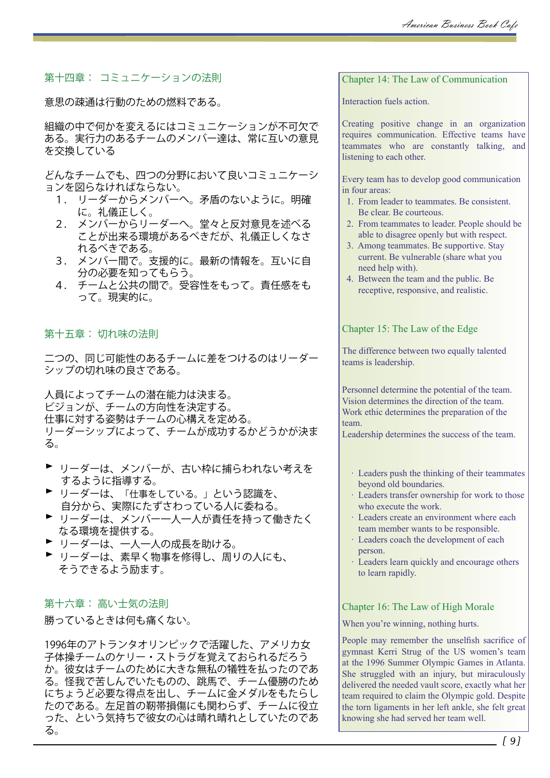# 第十四章: コミュニケーションの法則

意思の疎通は行動のための燃料である。

組織の中で何かを変えるにはコミュニケーションが不可欠で ある。実行力のあるチームのメンバー達は、常に互いの意見 を交換している

どんなチームでも、四つの分野において良いコミュニケーシ ョンを図らなければならない。

- 1. リーダーからメンバーへ。矛盾のないように。明確 に。礼儀正しく。
- 2. メンバーからリーダーへ。堂々と反対意見を述べる ことが出来る環境があるべきだが、礼儀正しくなさ れるべきである。
- 3. メンバー間で。支援的に。最新の情報を。互いに自 分の必要を知ってもらう。
- 4. チームと公共の間で。受容性をもって。責任感をも って。現実的に。

第十五章: 切れ味の法則

二つの、同じ可能性のあるチームに差をつけるのはリーダー シップの切れ味の良さである。

人員によってチームの潜在能力は決まる。 ビジョンが、チームの方向性を決定する。 仕事に対する姿勢はチームの心構えを定める。 リーダーシップによって、チームが成功するかどうかが決ま る。

- ▶ リーダーは、メンバーが、古い枠に捕らわれない考えを するように指導する。
- ▶ リーダーは、「仕事をしている。」という認識を、 自分から、実際にたずさわっている人に委ねる。
- ▶ リーダーは、メンバー一人一人が責任を持って働きたく なる環境を提供する。
- ▶ リーダーは、一人一人の成長を助ける。
- ▶ リーダーは、素早く物事を修得し、周りの人にも、 そうできるよう励ます。

## 第十六章: 高い士気の法則

勝っているときは何も痛くない。

1996年のアトランタオリンピックで活躍した、アメリカ女 子体操チームのケリー・ストラグを覚えておられるだろう か。彼女はチームのために大きな無私の犠牲を払ったのであ る。怪我で苦しんでいたものの、跳馬で、チーム優勝のため にちょうど必要な得点を出し、チームに金メダルをもたらし たのである。左足首の靭帯損傷にも関わらず、チームに役立 った、という気持ちで彼女の心は晴れ晴れとしていたのであ る。

Chapter 14: The Law of Communication

Interaction fuels action.

Creating positive change in an organization requires communication. Effective teams have teammates who are constantly talking, and listening to each other.

Every team has to develop good communication in four areas:

- 1. From leader to teammates. Be consistent. Be clear. Be courteous.
- 2. From teammates to leader. People should be able to disagree openly but with respect.
- 3. Among teammates. Be supportive. Stay current. Be vulnerable (share what you need help with).
- 4. Between the team and the public. Be receptive, responsive, and realistic.

Chapter 15: The Law of the Edge

The difference between two equally talented teams is leadership.

Personnel determine the potential of the team. Vision determines the direction of the team. Work ethic determines the preparation of the team.

Leadership determines the success of the team.

- · Leaders push the thinking of their teammates beyond old boundaries.
- · Leaders transfer ownership for work to those who execute the work.
- · Leaders create an environment where each team member wants to be responsible.
- · Leaders coach the development of each person.
- · Leaders learn quickly and encourage others to learn rapidly.

#### Chapter 16: The Law of High Morale

When you're winning, nothing hurts.

People may remember the unselfish sacrifice of gymnast Kerri Strug of the US women's team at the 1996 Summer Olympic Games in Atlanta. She struggled with an injury, but miraculously delivered the needed vault score, exactly what her team required to claim the Olympic gold. Despite the torn ligaments in her left ankle, she felt great knowing she had served her team well.